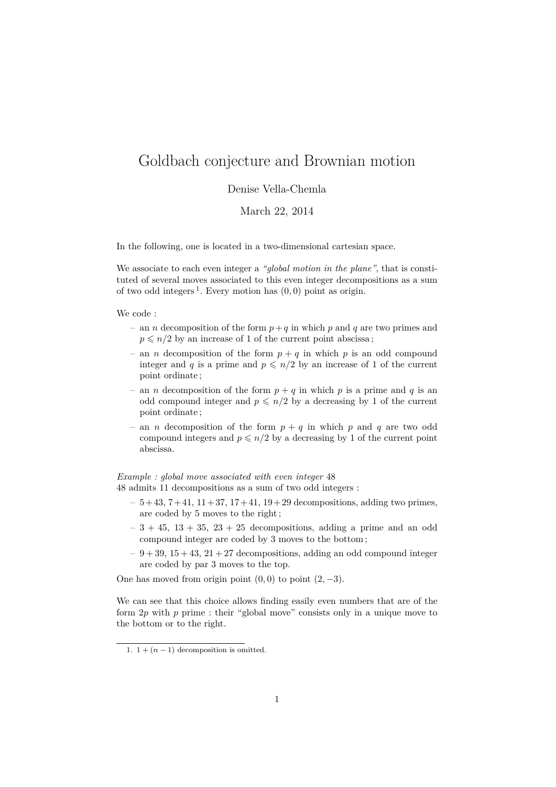## Goldbach conjecture and Brownian motion

## Denise Vella-Chemla

March 22, 2014

In the following, one is located in a two-dimensional cartesian space.

We associate to each even integer a *"global motion in the plane"*, that is constituted of several moves associated to this even integer decompositions as a sum of two odd integers <sup>1</sup> . Every motion has (0*,* 0) point as origin.

We code :

- an *n* decomposition of the form *p*+*q* in which *p* and *q* are two primes and  $p \leq n/2$  by an increase of 1 of the current point abscissa;
- an *n* decomposition of the form  $p + q$  in which *p* is an odd compound integer and *q* is a prime and  $p \leq n/2$  by an increase of 1 of the current point ordinate ;
- an *n* decomposition of the form  $p + q$  in which *p* is a prime and *q* is an odd compound integer and  $p \leq n/2$  by a decreasing by 1 of the current point ordinate ;
- an *n* decomposition of the form  $p + q$  in which *p* and *q* are two odd compound integers and  $p \leq n/2$  by a decreasing by 1 of the current point abscissa.

*Example : global move associated with even integer* 48

- 48 admits 11 decompositions as a sum of two odd integers :
	- $-5+43, 7+41, 11+37, 17+41, 19+29$  decompositions, adding two primes, are coded by 5 moves to the right ;
	- $-3 + 45$ ,  $13 + 35$ ,  $23 + 25$  decompositions, adding a prime and an odd compound integer are coded by 3 moves to the bottom ;
	- $-9+39$ ,  $15+43$ ,  $21+27$  decompositions, adding an odd compound integer are coded by par 3 moves to the top.

One has moved from origin point  $(0,0)$  to point  $(2,-3)$ .

We can see that this choice allows finding easily even numbers that are of the form 2*p* with *p* prime : their "global move" consists only in a unique move to the bottom or to the right.

<sup>1.</sup>  $1 + (n-1)$  decomposition is omitted.